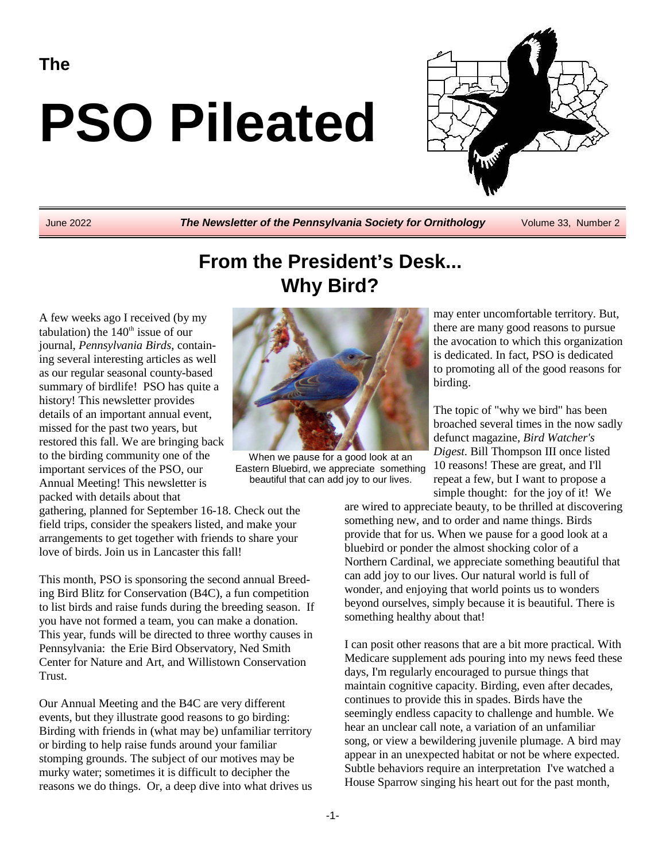**The**

# **PSO Pileated**



June 2022 *The Newsletter of the Pennsylvania Society for Ornithology* Volume 33, Number 2

# **From the President's Desk... Why Bird?**

A few weeks ago I received (by my tabulation) the  $140<sup>th</sup>$  issue of our journal, *Pennsylvania Birds*, containing several interesting articles as well as our regular seasonal county-based summary of birdlife! PSO has quite a history! This newsletter provides details of an important annual event, missed for the past two years, but restored this fall. We are bringing back to the birding community one of the important services of the PSO, our Annual Meeting! This newsletter is packed with details about that



When we pause for a good look at an Eastern Bluebird, we appreciate something beautiful that can add joy to our lives.

may enter uncomfortable territory. But, there are many good reasons to pursue the avocation to which this organization is dedicated. In fact, PSO is dedicated to promoting all of the good reasons for birding.

The topic of "why we bird" has been broached several times in the now sadly defunct magazine, *Bird Watcher's Digest*. Bill Thompson III once listed 10 reasons! These are great, and I'll repeat a few, but I want to propose a simple thought: for the joy of it! We

are wired to appreciate beauty, to be thrilled at discovering something new, and to order and name things. Birds provide that for us. When we pause for a good look at a bluebird or ponder the almost shocking color of a Northern Cardinal, we appreciate something beautiful that can add joy to our lives. Our natural world is full of wonder, and enjoying that world points us to wonders beyond ourselves, simply because it is beautiful. There is something healthy about that!

I can posit other reasons that are a bit more practical. With Medicare supplement ads pouring into my news feed these days, I'm regularly encouraged to pursue things that maintain cognitive capacity. Birding, even after decades, continues to provide this in spades. Birds have the seemingly endless capacity to challenge and humble. We hear an unclear call note, a variation of an unfamiliar song, or view a bewildering juvenile plumage. A bird may appear in an unexpected habitat or not be where expected. Subtle behaviors require an interpretation I've watched a House Sparrow singing his heart out for the past month,

gathering, planned for September 16-18. Check out the field trips, consider the speakers listed, and make your arrangements to get together with friends to share your love of birds. Join us in Lancaster this fall!

This month, PSO is sponsoring the second annual Breeding Bird Blitz for Conservation (B4C), a fun competition to list birds and raise funds during the breeding season. If you have not formed a team, you can make a donation. This year, funds will be directed to three worthy causes in Pennsylvania: the Erie Bird Observatory, Ned Smith Center for Nature and Art, and Willistown Conservation Trust.

Our Annual Meeting and the B4C are very different events, but they illustrate good reasons to go birding: Birding with friends in (what may be) unfamiliar territory or birding to help raise funds around your familiar stomping grounds. The subject of our motives may be murky water; sometimes it is difficult to decipher the reasons we do things. Or, a deep dive into what drives us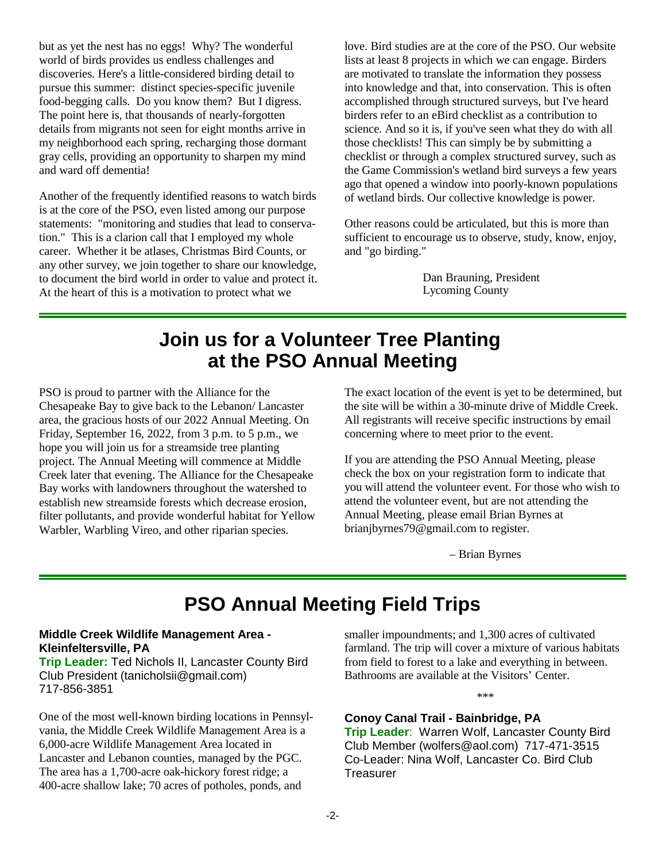but as yet the nest has no eggs! Why? The wonderful world of birds provides us endless challenges and discoveries. Here's a little-considered birding detail to pursue this summer: distinct species-specific juvenile food-begging calls. Do you know them? But I digress. The point here is, that thousands of nearly-forgotten details from migrants not seen for eight months arrive in my neighborhood each spring, recharging those dormant gray cells, providing an opportunity to sharpen my mind and ward off dementia!

Another of the frequently identified reasons to watch birds is at the core of the PSO, even listed among our purpose statements: "monitoring and studies that lead to conservation." This is a clarion call that I employed my whole career. Whether it be atlases, Christmas Bird Counts, or any other survey, we join together to share our knowledge, to document the bird world in order to value and protect it. At the heart of this is a motivation to protect what we

love. Bird studies are at the core of the PSO. Our website lists at least 8 projects in which we can engage. Birders are motivated to translate the information they possess into knowledge and that, into conservation. This is often accomplished through structured surveys, but I've heard birders refer to an eBird checklist as a contribution to science. And so it is, if you've seen what they do with all those checklists! This can simply be by submitting a checklist or through a complex structured survey, such as the Game Commission's wetland bird surveys a few years ago that opened a window into poorly-known populations of wetland birds. Our collective knowledge is power.

Other reasons could be articulated, but this is more than sufficient to encourage us to observe, study, know, enjoy, and "go birding."

> Dan Brauning, President Lycoming County

### **Join us for a Volunteer Tree Planting at the PSO Annual Meeting**

PSO is proud to partner with the Alliance for the Chesapeake Bay to give back to the Lebanon/ Lancaster area, the gracious hosts of our 2022 Annual Meeting. On Friday, September 16, 2022, from 3 p.m. to 5 p.m., we hope you will join us for a streamside tree planting project. The Annual Meeting will commence at Middle Creek later that evening. The Alliance for the Chesapeake Bay works with landowners throughout the watershed to establish new streamside forests which decrease erosion, filter pollutants, and provide wonderful habitat for Yellow Warbler, Warbling Vireo, and other riparian species.

The exact location of the event is yet to be determined, but the site will be within a 30-minute drive of Middle Creek. All registrants will receive specific instructions by email concerning where to meet prior to the event.

If you are attending the PSO Annual Meeting, please check the box on your registration form to indicate that you will attend the volunteer event. For those who wish to attend the volunteer event, but are not attending the Annual Meeting, please email Brian Byrnes at brianjbyrnes79@gmail.com to register.

– Brian Byrnes

### **PSO Annual Meeting Field Trips**

#### **Middle Creek Wildlife Management Area - Kleinfeltersville, PA**

**Trip Leader:** Ted Nichols II, Lancaster County Bird Club President (tanicholsii@gmail.com) 717-856-3851

One of the most well-known birding locations in Pennsylvania, the Middle Creek Wildlife Management Area is a 6,000-acre Wildlife Management Area located in Lancaster and Lebanon counties, managed by the PGC. The area has a 1,700-acre oak-hickory forest ridge; a 400-acre shallow lake; 70 acres of potholes, ponds, and

smaller impoundments; and 1,300 acres of cultivated farmland. The trip will cover a mixture of various habitats from field to forest to a lake and everything in between. Bathrooms are available at the Visitors' Center.

\*\*\*

#### **Conoy Canal Trail - Bainbridge, PA**

**Trip Leader**: Warren Wolf, Lancaster County Bird Club Member (wolfers@aol.com) 717-471-3515 Co-Leader: Nina Wolf, Lancaster Co. Bird Club **Treasurer**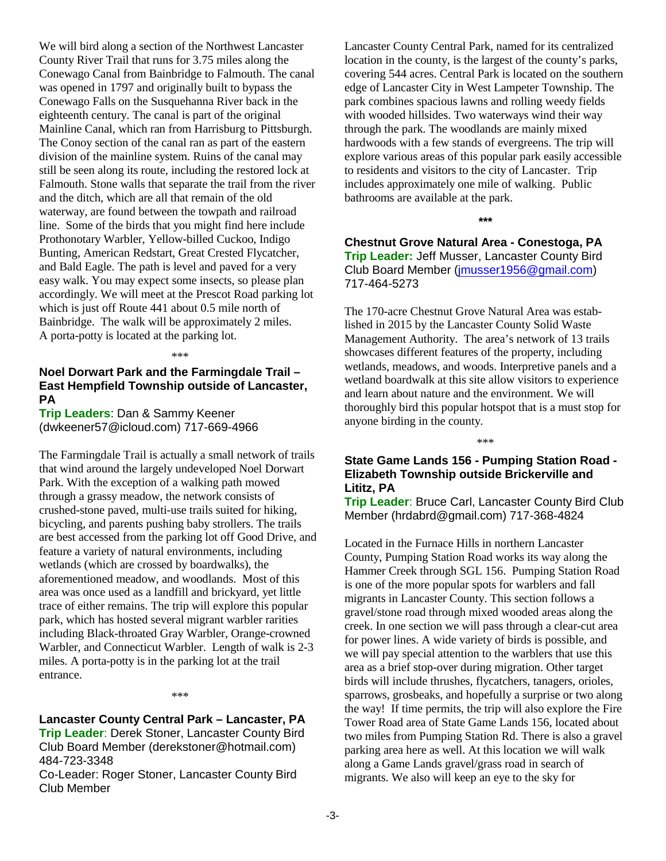We will bird along a section of the Northwest Lancaster County River Trail that runs for 3.75 miles along the Conewago Canal from Bainbridge to Falmouth. The canal was opened in 1797 and originally built to bypass the Conewago Falls on the Susquehanna River back in the eighteenth century. The canal is part of the original Mainline Canal, which ran from Harrisburg to Pittsburgh. The Conoy section of the canal ran as part of the eastern division of the mainline system. Ruins of the canal may still be seen along its route, including the restored lock at Falmouth. Stone walls that separate the trail from the river and the ditch, which are all that remain of the old waterway, are found between the towpath and railroad line. Some of the birds that you might find here include Prothonotary Warbler, Yellow-billed Cuckoo, Indigo Bunting, American Redstart, Great Crested Flycatcher, and Bald Eagle. The path is level and paved for a very easy walk. You may expect some insects, so please plan accordingly. We will meet at the Prescot Road parking lot which is just off Route 441 about 0.5 mile north of Bainbridge. The walk will be approximately 2 miles. A porta-potty is located at the parking lot.

\*\*\*

#### **Noel Dorwart Park and the Farmingdale Trail – East Hempfield Township outside of Lancaster, PA**

**Trip Leaders**: Dan & Sammy Keener (dwkeener57@icloud.com) 717-669-4966

The Farmingdale Trail is actually a small network of trails that wind around the largely undeveloped Noel Dorwart Park. With the exception of a walking path mowed through a grassy meadow, the network consists of crushed-stone paved, multi-use trails suited for hiking, bicycling, and parents pushing baby strollers. The trails are best accessed from the parking lot off Good Drive, and feature a variety of natural environments, including wetlands (which are crossed by boardwalks), the aforementioned meadow, and woodlands. Most of this area was once used as a landfill and brickyard, yet little trace of either remains. The trip will explore this popular park, which has hosted several migrant warbler rarities including Black-throated Gray Warbler, Orange-crowned Warbler, and Connecticut Warbler. Length of walk is 2-3 miles. A porta-potty is in the parking lot at the trail entrance.

#### \*\*\*

**Lancaster County Central Park – Lancaster, PA Trip Leader**: Derek Stoner, Lancaster County Bird Club Board Member (derekstoner@hotmail.com) 484-723-3348

Co-Leader: Roger Stoner, Lancaster County Bird Club Member

Lancaster County Central Park, named for its centralized location in the county, is the largest of the county's parks, covering 544 acres. Central Park is located on the southern edge of Lancaster City in West Lampeter Township. The park combines spacious lawns and rolling weedy fields with wooded hillsides. Two waterways wind their way through the park. The woodlands are mainly mixed hardwoods with a few stands of evergreens. The trip will explore various areas of this popular park easily accessible to residents and visitors to the city of Lancaster. Trip includes approximately one mile of walking. Public bathrooms are available at the park.

**\*\*\***

**Chestnut Grove Natural Area - Conestoga, PA Trip Leader:** Jeff Musser, Lancaster County Bird Club Board Member [\(jmusser1956@gmail.com](mailto:jmusser1956@gmail.com)) 717-464-5273

The 170-acre Chestnut Grove Natural Area was established in 2015 by the Lancaster County Solid Waste Management Authority. The area's network of 13 trails showcases different features of the property, including wetlands, meadows, and woods. Interpretive panels and a wetland boardwalk at this site allow visitors to experience and learn about nature and the environment. We will thoroughly bird this popular hotspot that is a must stop for anyone birding in the county.

#### **State Game Lands 156 - Pumping Station Road - Elizabeth Township outside Brickerville and Lititz, PA**

\*\*\*

**Trip Leader**: Bruce Carl, Lancaster County Bird Club Member (hrdabrd@gmail.com) 717-368-4824

Located in the Furnace Hills in northern Lancaster County, Pumping Station Road works its way along the Hammer Creek through SGL 156. Pumping Station Road is one of the more popular spots for warblers and fall migrants in Lancaster County. This section follows a gravel/stone road through mixed wooded areas along the creek. In one section we will pass through a clear-cut area for power lines. A wide variety of birds is possible, and we will pay special attention to the warblers that use this area as a brief stop-over during migration. Other target birds will include thrushes, flycatchers, tanagers, orioles, sparrows, grosbeaks, and hopefully a surprise or two along the way! If time permits, the trip will also explore the Fire Tower Road area of State Game Lands 156, located about two miles from Pumping Station Rd. There is also a gravel parking area here as well. At this location we will walk along a Game Lands gravel/grass road in search of migrants. We also will keep an eye to the sky for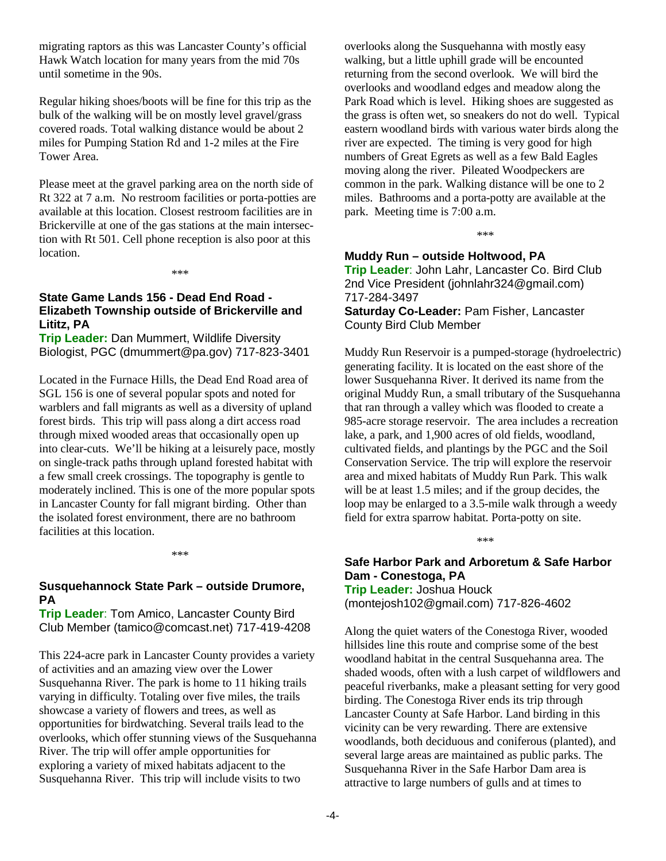migrating raptors as this was Lancaster County's official Hawk Watch location for many years from the mid 70s until sometime in the 90s.

Regular hiking shoes/boots will be fine for this trip as the bulk of the walking will be on mostly level gravel/grass covered roads. Total walking distance would be about 2 miles for Pumping Station Rd and 1-2 miles at the Fire Tower Area.

Please meet at the gravel parking area on the north side of Rt 322 at 7 a.m. No restroom facilities or porta-potties are available at this location. Closest restroom facilities are in Brickerville at one of the gas stations at the main intersection with Rt 501. Cell phone reception is also poor at this location.

\*\*\*

#### **State Game Lands 156 - Dead End Road - Elizabeth Township outside of Brickerville and Lititz, PA**

**Trip Leader:** Dan Mummert, Wildlife Diversity Biologist, PGC (dmummert@pa.gov) 717-823-3401

Located in the Furnace Hills, the Dead End Road area of SGL 156 is one of several popular spots and noted for warblers and fall migrants as well as a diversity of upland forest birds. This trip will pass along a dirt access road through mixed wooded areas that occasionally open up into clear-cuts. We'll be hiking at a leisurely pace, mostly on single-track paths through upland forested habitat with a few small creek crossings. The topography is gentle to moderately inclined. This is one of the more popular spots in Lancaster County for fall migrant birding. Other than the isolated forest environment, there are no bathroom facilities at this location.

\*\*\*

#### **Susquehannock State Park – outside Drumore, PA**

**Trip Leader**: Tom Amico, Lancaster County Bird Club Member (tamico@comcast.net) 717-419-4208

This 224-acre park in Lancaster County provides a variety of activities and an amazing view over the Lower Susquehanna River. The park is home to 11 hiking trails varying in difficulty. Totaling over five miles, the trails showcase a variety of flowers and trees, as well as opportunities for birdwatching. Several trails lead to the overlooks, which offer stunning views of the Susquehanna River. The trip will offer ample opportunities for exploring a variety of mixed habitats adjacent to the Susquehanna River. This trip will include visits to two

overlooks along the Susquehanna with mostly easy walking, but a little uphill grade will be encounted returning from the second overlook. We will bird the overlooks and woodland edges and meadow along the Park Road which is level. Hiking shoes are suggested as the grass is often wet, so sneakers do not do well. Typical eastern woodland birds with various water birds along the river are expected. The timing is very good for high numbers of Great Egrets as well as a few Bald Eagles moving along the river. Pileated Woodpeckers are common in the park. Walking distance will be one to 2 miles. Bathrooms and a porta-potty are available at the park. Meeting time is 7:00 a.m.

\*\*\*

#### **Muddy Run – outside Holtwood, PA**

**Trip Leader**: John Lahr, Lancaster Co. Bird Club 2nd Vice President (johnlahr324@gmail.com) 717-284-3497

**Saturday Co-Leader:** Pam Fisher, Lancaster County Bird Club Member

Muddy Run Reservoir is a pumped-storage (hydroelectric) generating facility. It is located on the east shore of the lower Susquehanna River. It derived its name from the original Muddy Run, a small tributary of the Susquehanna that ran through a valley which was flooded to create a 985-acre storage reservoir. The area includes a recreation lake, a park, and 1,900 acres of old fields, woodland, cultivated fields, and plantings by the PGC and the Soil Conservation Service. The trip will explore the reservoir area and mixed habitats of Muddy Run Park. This walk will be at least 1.5 miles; and if the group decides, the loop may be enlarged to a 3.5-mile walk through a weedy field for extra sparrow habitat. Porta-potty on site.

**Safe Harbor Park and Arboretum & Safe Harbor Dam - Conestoga, PA Trip Leader:** Joshua Houck (montejosh102@gmail.com) 717-826-4602

\*\*\*

Along the quiet waters of the Conestoga River, wooded hillsides line this route and comprise some of the best woodland habitat in the central Susquehanna area. The shaded woods, often with a lush carpet of wildflowers and peaceful riverbanks, make a pleasant setting for very good birding. The Conestoga River ends its trip through Lancaster County at Safe Harbor. Land birding in this vicinity can be very rewarding. There are extensive woodlands, both deciduous and coniferous (planted), and several large areas are maintained as public parks. The Susquehanna River in the Safe Harbor Dam area is attractive to large numbers of gulls and at times to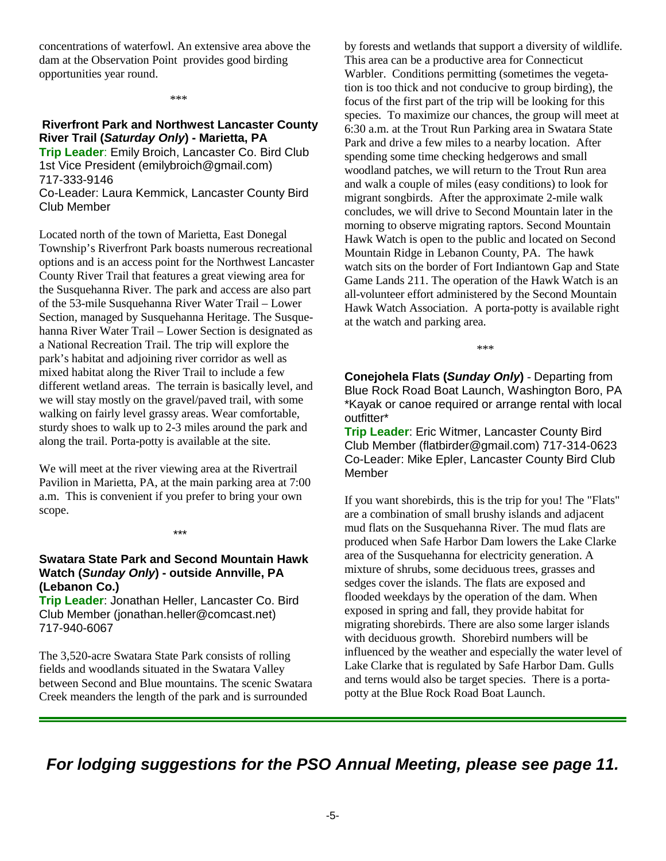concentrations of waterfowl. An extensive area above the dam at the Observation Point provides good birding opportunities year round.

\*\*\*

#### **Riverfront Park and Northwest Lancaster County River Trail (***Saturday Only***) - Marietta, PA**

**Trip Leader**: Emily Broich, Lancaster Co. Bird Club 1st Vice President (emilybroich@gmail.com) 717-333-9146 Co-Leader: Laura Kemmick, Lancaster County Bird

Club Member

Located north of the town of Marietta, East Donegal Township's Riverfront Park boasts numerous recreational options and is an access point for the Northwest Lancaster County River Trail that features a great viewing area for the Susquehanna River. The park and access are also part of the 53-mile Susquehanna River Water Trail – Lower Section, managed by Susquehanna Heritage. The Susquehanna River Water Trail – Lower Section is designated as a National Recreation Trail. The trip will explore the park's habitat and adjoining river corridor as well as mixed habitat along the River Trail to include a few different wetland areas. The terrain is basically level, and we will stay mostly on the gravel/paved trail, with some walking on fairly level grassy areas. Wear comfortable, sturdy shoes to walk up to 2-3 miles around the park and along the trail. Porta-potty is available at the site.

We will meet at the river viewing area at the Rivertrail Pavilion in Marietta, PA, at the main parking area at 7:00 a.m. This is convenient if you prefer to bring your own scope.

#### \*\*\*

#### **Swatara State Park and Second Mountain Hawk Watch (***Sunday Only***) - outside Annville, PA (Lebanon Co.)**

**Trip Leader**: Jonathan Heller, Lancaster Co. Bird Club Member (jonathan.heller@comcast.net) 717-940-6067

The 3,520-acre Swatara State Park consists of rolling fields and woodlands situated in the Swatara Valley between Second and Blue mountains. The scenic Swatara Creek meanders the length of the park and is surrounded

by forests and wetlands that support a diversity of wildlife. This area can be a productive area for Connecticut Warbler. Conditions permitting (sometimes the vegetation is too thick and not conducive to group birding), the focus of the first part of the trip will be looking for this species. To maximize our chances, the group will meet at 6:30 a.m. at the Trout Run Parking area in Swatara State Park and drive a few miles to a nearby location. After spending some time checking hedgerows and small woodland patches, we will return to the Trout Run area and walk a couple of miles (easy conditions) to look for migrant songbirds. After the approximate 2-mile walk concludes, we will drive to Second Mountain later in the morning to observe migrating raptors. Second Mountain Hawk Watch is open to the public and located on Second Mountain Ridge in Lebanon County, PA. The hawk watch sits on the border of Fort Indiantown Gap and State Game Lands 211. The operation of the Hawk Watch is an all-volunteer effort administered by the Second Mountain Hawk Watch Association. A porta-potty is available right at the watch and parking area.

\*\*\*

**Conejohela Flats (***Sunday Only***)** - Departing from Blue Rock Road Boat Launch, Washington Boro, PA \*Kayak or canoe required or arrange rental with local outfitter\*

**Trip Leader**: Eric Witmer, Lancaster County Bird Club Member (flatbirder@gmail.com) 717-314-0623 Co-Leader: Mike Epler, Lancaster County Bird Club Member

If you want shorebirds, this is the trip for you! The "Flats" are a combination of small brushy islands and adjacent mud flats on the Susquehanna River. The mud flats are produced when Safe Harbor Dam lowers the Lake Clarke area of the Susquehanna for electricity generation. A mixture of shrubs, some deciduous trees, grasses and sedges cover the islands. The flats are exposed and flooded weekdays by the operation of the dam. When exposed in spring and fall, they provide habitat for migrating shorebirds. There are also some larger islands with deciduous growth. Shorebird numbers will be influenced by the weather and especially the water level of Lake Clarke that is regulated by Safe Harbor Dam. Gulls and terns would also be target species. There is a portapotty at the Blue Rock Road Boat Launch.

*For lodging suggestions for the PSO Annual Meeting, please see page 11.*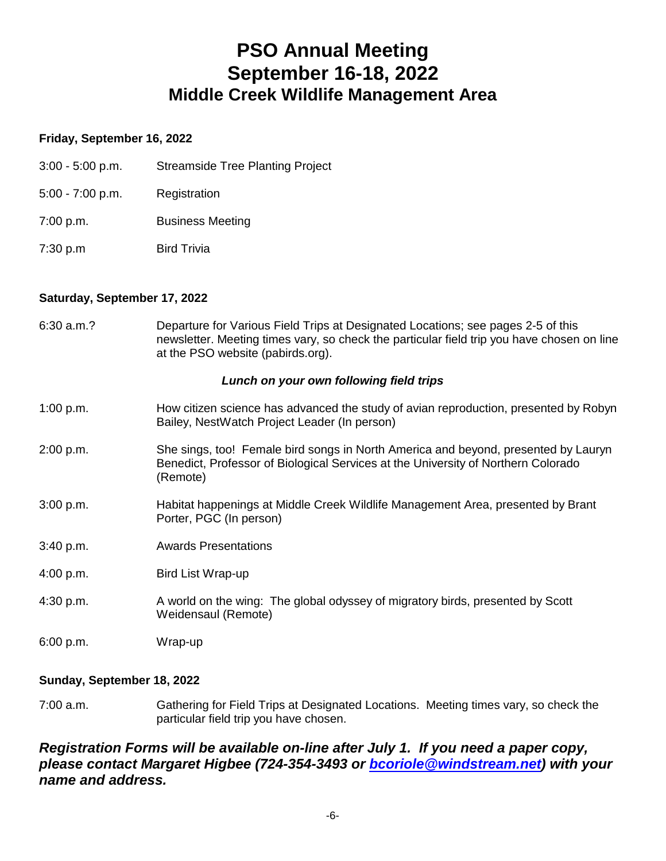### **PSO Annual Meeting September 16-18, 2022 Middle Creek Wildlife Management Area**

#### **Friday, September 16, 2022**

- 3:00 5:00 p.m. Streamside Tree Planting Project
- 5:00 7:00 p.m. Registration
- 7:00 p.m. Business Meeting
- 7:30 p.m Bird Trivia

#### **Saturday, September 17, 2022**

6:30 a.m.? Departure for Various Field Trips at Designated Locations; see pages 2-5 of this newsletter. Meeting times vary, so check the particular field trip you have chosen on line at the PSO website (pabirds.org).

#### *Lunch on your own following field trips*

- 1:00 p.m. How citizen science has advanced the study of avian reproduction, presented by Robyn Bailey, NestWatch Project Leader (In person)
- 2:00 p.m. She sings, too! Female bird songs in North America and beyond, presented by Lauryn Benedict, Professor of Biological Services at the University of Northern Colorado (Remote)
- 3:00 p.m. Habitat happenings at Middle Creek Wildlife Management Area, presented by Brant Porter, PGC (In person)
- 3:40 p.m. Awards Presentations
- 4:00 p.m. Bird List Wrap-up
- 4:30 p.m. A world on the wing: The global odyssey of migratory birds, presented by Scott Weidensaul (Remote)
- 6:00 p.m. Wrap-up

#### **Sunday, September 18, 2022**

7:00 a.m. Gathering for Field Trips at Designated Locations. Meeting times vary, so check the particular field trip you have chosen.

#### *Registration Forms will be available on-line after July 1. If you need a paper copy, please contact Margaret Higbee (724-354-3493 or [bcoriole@windstream.net](mailto:bcoriole@windstream.net)) with your name and address.*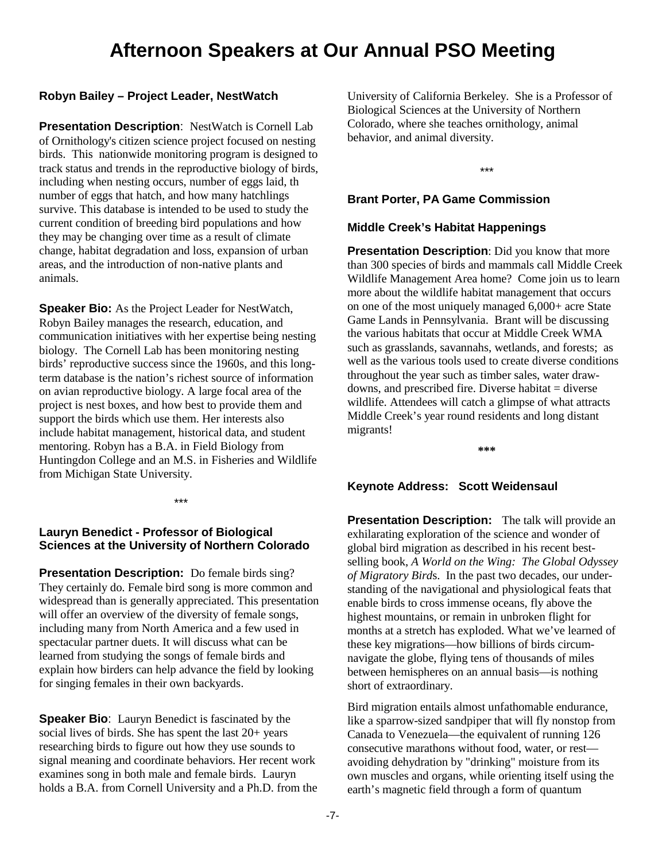### **Afternoon Speakers at Our Annual PSO Meeting**

#### **Robyn Bailey – Project Leader, NestWatch**

**Presentation Description**: NestWatch is Cornell Lab of Ornithology's citizen science project focused on nesting birds. This nationwide monitoring program is designed to track status and trends in the reproductive biology of birds, including when nesting occurs, number of eggs laid, th number of eggs that hatch, and how many hatchlings survive. This database is intended to be used to study the current condition of breeding bird populations and how they may be changing over time as a result of climate change, habitat degradation and loss, expansion of urban areas, and the introduction of non-native plants and animals.

**Speaker Bio:** As the Project Leader for NestWatch, Robyn Bailey manages the research, education, and communication initiatives with her expertise being nesting biology. The Cornell Lab has been monitoring nesting birds' reproductive success since the 1960s, and this longterm database is the nation's richest source of information on avian reproductive biology. A large focal area of the project is nest boxes, and how best to provide them and support the birds which use them. Her interests also include habitat management, historical data, and student mentoring. Robyn has a B.A. in Field Biology from Huntingdon College and an M.S. in Fisheries and Wildlife from Michigan State University.

\*\*\*

#### **Lauryn Benedict - Professor of Biological Sciences at the University of Northern Colorado**

**Presentation Description:** Do female birds sing? They certainly do. Female bird song is more common and widespread than is generally appreciated. This presentation will offer an overview of the diversity of female songs, including many from North America and a few used in spectacular partner duets. It will discuss what can be learned from studying the songs of female birds and explain how birders can help advance the field by looking for singing females in their own backyards.

**Speaker Bio**: Lauryn Benedict is fascinated by the social lives of birds. She has spent the last 20+ years researching birds to figure out how they use sounds to signal meaning and coordinate behaviors. Her recent work examines song in both male and female birds. Lauryn holds a B.A. from Cornell University and a Ph.D. from the

University of California Berkeley. She is a Professor of Biological Sciences at the University of Northern Colorado, where she teaches ornithology, animal behavior, and animal diversity.

\*\*\*

#### **Brant Porter, PA Game Commission**

#### **Middle Creek's Habitat Happenings**

**Presentation Description**: Did you know that more than 300 species of birds and mammals call Middle Creek Wildlife Management Area home? Come join us to learn more about the wildlife habitat management that occurs on one of the most uniquely managed 6,000+ acre State Game Lands in Pennsylvania. Brant will be discussing the various habitats that occur at Middle Creek WMA such as grasslands, savannahs, wetlands, and forests; as well as the various tools used to create diverse conditions throughout the year such as timber sales, water drawdowns, and prescribed fire. Diverse habitat  $=$  diverse wildlife. Attendees will catch a glimpse of what attracts Middle Creek's year round residents and long distant migrants!

**\*\*\***

#### **Keynote Address: Scott Weidensaul**

**Presentation Description:** The talk will provide an exhilarating exploration of the science and wonder of global bird migration as described in his recent bestselling book, *A World on the Wing: The Global Odyssey of Migratory Bird*s. In the past two decades, our understanding of the navigational and physiological feats that enable birds to cross immense oceans, fly above the highest mountains, or remain in unbroken flight for months at a stretch has exploded. What we've learned of these key migrations—how billions of birds circumnavigate the globe, flying tens of thousands of miles between hemispheres on an annual basis—is nothing short of extraordinary.

Bird migration entails almost unfathomable endurance, like a sparrow-sized sandpiper that will fly nonstop from Canada to Venezuela—the equivalent of running 126 consecutive marathons without food, water, or rest avoiding dehydration by "drinking" moisture from its own muscles and organs, while orienting itself using the earth's magnetic field through a form of quantum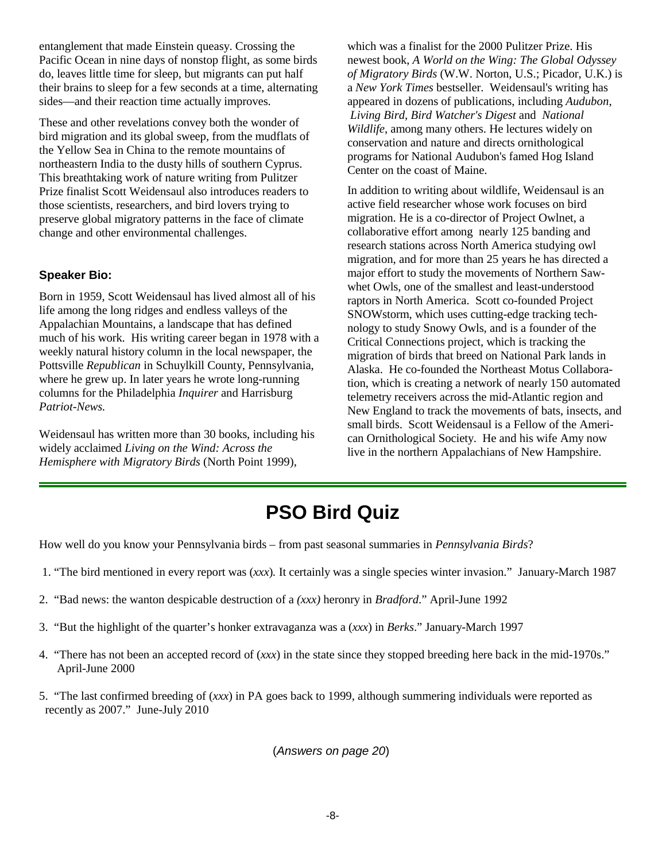entanglement that made Einstein queasy. Crossing the Pacific Ocean in nine days of nonstop flight, as some birds do, leaves little time for sleep, but migrants can put half their brains to sleep for a few seconds at a time, alternating sides—and their reaction time actually improves.

These and other revelations convey both the wonder of bird migration and its global sweep, from the mudflats of the Yellow Sea in China to the remote mountains of northeastern India to the dusty hills of southern Cyprus. This breathtaking work of nature writing from Pulitzer Prize finalist Scott Weidensaul also introduces readers to those scientists, researchers, and bird lovers trying to preserve global migratory patterns in the face of climate change and other environmental challenges.

#### **Speaker Bio:**

Born in 1959, Scott Weidensaul has lived almost all of his life among the long ridges and endless valleys of the Appalachian Mountains, a landscape that has defined much of his work. His writing career began in 1978 with a weekly natural history column in the local newspaper, the Pottsville *Republican* in Schuylkill County, Pennsylvania, where he grew up. In later years he wrote long-running columns for the Philadelphia *Inquirer* and Harrisburg *Patriot-News.*

Weidensaul has written more than 30 books, including his widely acclaimed *Living on the Wind: Across the Hemisphere with Migratory Birds* (North Point 1999),

which was a finalist for the 2000 Pulitzer Prize. His newest book, *A World on the Wing: The Global Odyssey of Migratory Birds* (W.W. Norton, U.S.; Picador, U.K.) is a *New York Times* bestseller. Weidensaul's writing has appeared in dozens of publications, including *Audubon*, *Living Bird*, *Bird Watcher's Digest* and *National Wildlife*, among many others. He lectures widely on conservation and nature and directs ornithological programs for National Audubon's famed Hog Island Center on the coast of Maine.

In addition to writing about wildlife, Weidensaul is an active field researcher whose work focuses on bird migration. He is a co-director of Project Owlnet, a collaborative effort among nearly 125 banding and research stations across North America studying owl migration, and for more than 25 years he has directed a major effort to study the movements of Northern Sawwhet Owls, one of the smallest and least-understood raptors in North America. Scott co-founded Project SNOWstorm, which uses cutting-edge tracking technology to study Snowy Owls, and is a founder of the Critical Connections project, which is tracking the migration of birds that breed on National Park lands in Alaska. He co-founded the Northeast Motus Collaboration, which is creating a network of nearly 150 automated telemetry receivers across the mid-Atlantic region and New England to track the movements of bats, insects, and small birds. Scott Weidensaul is a Fellow of the American Ornithological Society. He and his wife Amy now live in the northern Appalachians of New Hampshire.

### **PSO Bird Quiz**

How well do you know your Pennsylvania birds – from past seasonal summaries in *Pennsylvania Birds*?

- 1. "The bird mentioned in every report was (*xxx*)*.* It certainly was a single species winter invasion." January-March 1987
- 2. "Bad news: the wanton despicable destruction of a *(xxx)* heronry in *Bradford*." April-June 1992
- 3. "But the highlight of the quarter's honker extravaganza was a (*xxx*) in *Berks*." January-March 1997
- 4. "There has not been an accepted record of (*xxx*) in the state since they stopped breeding here back in the mid-1970s." April-June 2000
- 5. "The last confirmed breeding of (*xxx*) in PA goes back to 1999, although summering individuals were reported as recently as 2007." June-July 2010

(*Answers on page 20*)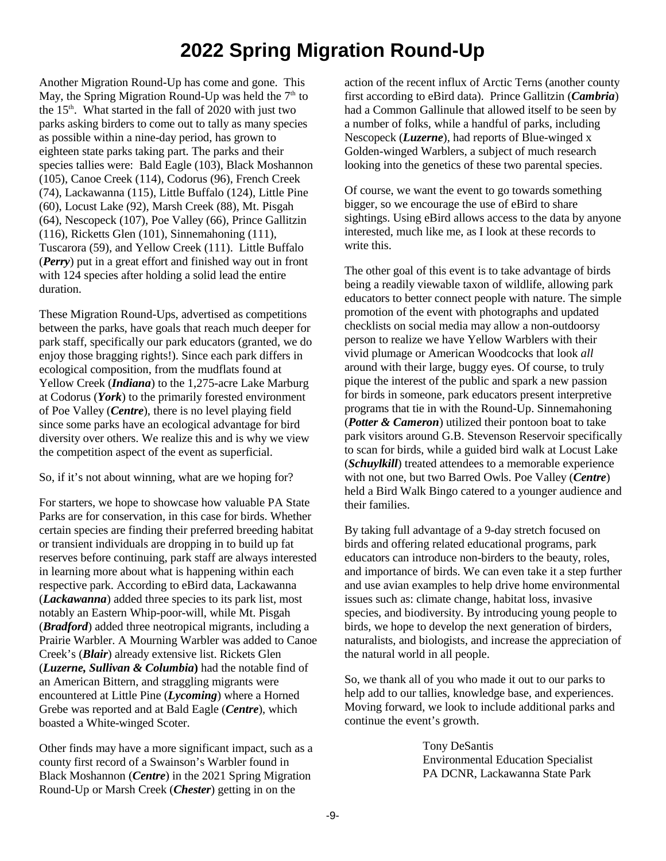# **2022 Spring Migration Round-Up**

Another Migration Round-Up has come and gone. This May, the Spring Migration Round-Up was held the  $7<sup>th</sup>$  to the  $15<sup>th</sup>$ . What started in the fall of 2020 with just two parks asking birders to come out to tally as many species as possible within a nine-day period, has grown to eighteen state parks taking part. The parks and their species tallies were: Bald Eagle (103), Black Moshannon (105), Canoe Creek (114), Codorus (96), French Creek (74), Lackawanna (115), Little Buffalo (124), Little Pine (60), Locust Lake (92), Marsh Creek (88), Mt. Pisgah (64), Nescopeck (107), Poe Valley (66), Prince Gallitzin (116), Ricketts Glen (101), Sinnemahoning (111), Tuscarora (59), and Yellow Creek (111). Little Buffalo (*Perry*) put in a great effort and finished way out in front with 124 species after holding a solid lead the entire duration.

These Migration Round-Ups, advertised as competitions between the parks, have goals that reach much deeper for park staff, specifically our park educators (granted, we do enjoy those bragging rights!). Since each park differs in ecological composition, from the mudflats found at Yellow Creek (*Indiana*) to the 1,275-acre Lake Marburg at Codorus (*York*) to the primarily forested environment of Poe Valley (*Centre*), there is no level playing field since some parks have an ecological advantage for bird diversity over others. We realize this and is why we view the competition aspect of the event as superficial.

#### So, if it's not about winning, what are we hoping for?

For starters, we hope to showcase how valuable PA State Parks are for conservation, in this case for birds. Whether certain species are finding their preferred breeding habitat or transient individuals are dropping in to build up fat reserves before continuing, park staff are always interested in learning more about what is happening within each respective park. According to eBird data, Lackawanna (*Lackawanna*) added three species to its park list, most notably an Eastern Whip-poor-will, while Mt. Pisgah (*Bradford*) added three neotropical migrants, including a Prairie Warbler. A Mourning Warbler was added to Canoe Creek's (*Blair*) already extensive list. Rickets Glen (*Luzerne, Sullivan & Columbia***)** had the notable find of an American Bittern, and straggling migrants were encountered at Little Pine (*Lycoming*) where a Horned Grebe was reported and at Bald Eagle (*Centre*), which boasted a White-winged Scoter.

Other finds may have a more significant impact, such as a county first record of a Swainson's Warbler found in Black Moshannon (*Centre*) in the 2021 Spring Migration Round-Up or Marsh Creek (*Chester*) getting in on the

action of the recent influx of Arctic Terns (another county first according to eBird data). Prince Gallitzin (*Cambria*) had a Common Gallinule that allowed itself to be seen by a number of folks, while a handful of parks, including Nescopeck (*Luzerne*), had reports of Blue-winged x Golden-winged Warblers, a subject of much research looking into the genetics of these two parental species.

Of course, we want the event to go towards something bigger, so we encourage the use of eBird to share sightings. Using eBird allows access to the data by anyone interested, much like me, as I look at these records to write this.

The other goal of this event is to take advantage of birds being a readily viewable taxon of wildlife, allowing park educators to better connect people with nature. The simple promotion of the event with photographs and updated checklists on social media may allow a non-outdoorsy person to realize we have Yellow Warblers with their vivid plumage or American Woodcocks that look *all* around with their large, buggy eyes. Of course, to truly pique the interest of the public and spark a new passion for birds in someone, park educators present interpretive programs that tie in with the Round-Up. Sinnemahoning (*Potter & Cameron*) utilized their pontoon boat to take park visitors around G.B. Stevenson Reservoir specifically to scan for birds, while a guided bird walk at Locust Lake (*Schuylkill*) treated attendees to a memorable experience with not one, but two Barred Owls. Poe Valley (*Centre*) held a Bird Walk Bingo catered to a younger audience and their families.

By taking full advantage of a 9-day stretch focused on birds and offering related educational programs, park educators can introduce non-birders to the beauty, roles, and importance of birds. We can even take it a step further and use avian examples to help drive home environmental issues such as: climate change, habitat loss, invasive species, and biodiversity. By introducing young people to birds, we hope to develop the next generation of birders, naturalists, and biologists, and increase the appreciation of the natural world in all people.

So, we thank all of you who made it out to our parks to help add to our tallies, knowledge base, and experiences. Moving forward, we look to include additional parks and continue the event's growth.

> Tony DeSantis Environmental Education Specialist PA DCNR, Lackawanna State Park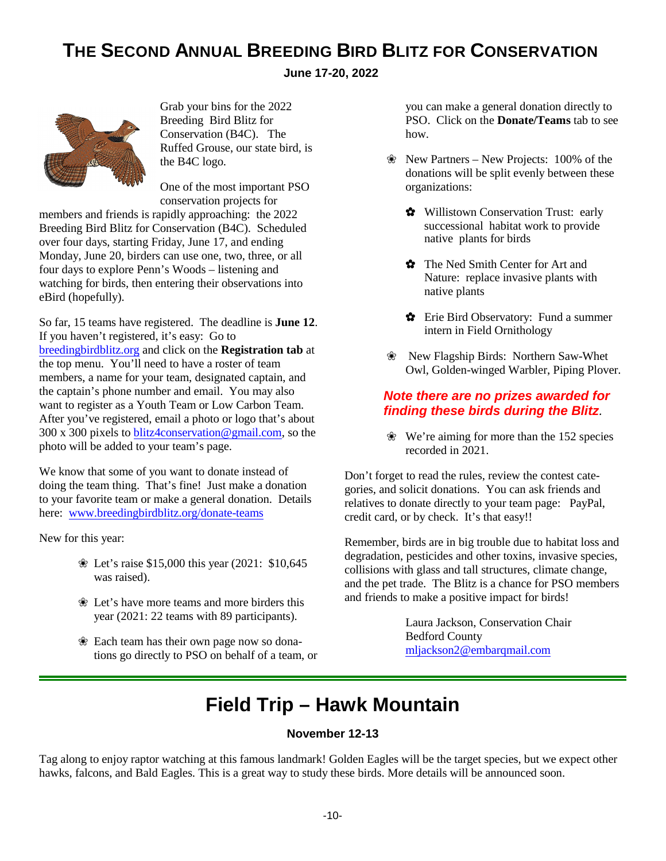### **THE SECOND ANNUAL BREEDING BIRD BLITZ FOR CONSERVATION**

**June 17-20, 2022** 



Grab your bins for the 2022 Breeding Bird Blitz for Conservation (B4C). The Ruffed Grouse, our state bird, is the B4C logo.

One of the most important PSO conservation projects for

members and friends is rapidly approaching: the 2022 Breeding Bird Blitz for Conservation (B4C). Scheduled over four days, starting Friday, June 17, and ending Monday, June 20, birders can use one, two, three, or all four days to explore Penn's Woods – listening and watching for birds, then entering their observations into eBird (hopefully).

So far, 15 teams have registered. The deadline is **June 12**. If you haven't registered, it's easy: Go to [breedingbirdblitz.org](http://breedingbirdblitz.org/) and click on the **Registration tab** at the top menu. You'll need to have a roster of team members, a name for your team, designated captain, and the captain's phone number and email. You may also want to register as a Youth Team or Low Carbon Team. After you've registered, email a photo or logo that's about 300 x 300 pixels to [blitz4conservation@gmail.com](mailto:blitz4conservation@gmail.com), so the photo will be added to your team's page.

We know that some of you want to donate instead of doing the team thing. That's fine! Just make a donation to your favorite team or make a general donation. Details here: [www.breedingbirdblitz.org/donate-teams](http://www.breedingbirdblitz.org/donate-teams)

New for this year:

- Let's raise \$15,000 this year (2021: \$10,645 was raised).
- Let's have more teams and more birders this year (2021: 22 teams with 89 participants).
- Each team has their own page now so donations go directly to PSO on behalf of a team, or

you can make a general donation directly to PSO. Click on the **Donate/Teams** tab to see how.

- New Partners New Projects: 100% of the donations will be split evenly between these organizations:
	- Willistown Conservation Trust: early successional habitat work to provide native plants for birds
	- The Ned Smith Center for Art and Nature: replace invasive plants with native plants
	- $\bullet$  Erie Bird Observatory: Fund a summer intern in Field Ornithology
- New Flagship Birds: Northern Saw-Whet Owl, Golden-winged Warbler, Piping Plover.

#### *Note there are no prizes awarded for finding these birds during the Blitz.*

 We're aiming for more than the 152 species recorded in 2021.

Don't forget to read the rules, review the contest categories, and solicit donations. You can ask friends and relatives to donate directly to your team page: PayPal, credit card, or by check. It's that easy!!

Remember, birds are in big trouble due to habitat loss and degradation, pesticides and other toxins, invasive species, collisions with glass and tall structures, climate change, and the pet trade. The Blitz is a chance for PSO members and friends to make a positive impact for birds!

> Laura Jackson, Conservation Chair Bedford County [mljackson2@embarqmail.com](mailto:mljackson2@embarqmail.com)

# **Field Trip – Hawk Mountain**

#### **November 12-13**

Tag along to enjoy raptor watching at this famous landmark! Golden Eagles will be the target species, but we expect other hawks, falcons, and Bald Eagles. This is a great way to study these birds. More details will be announced soon.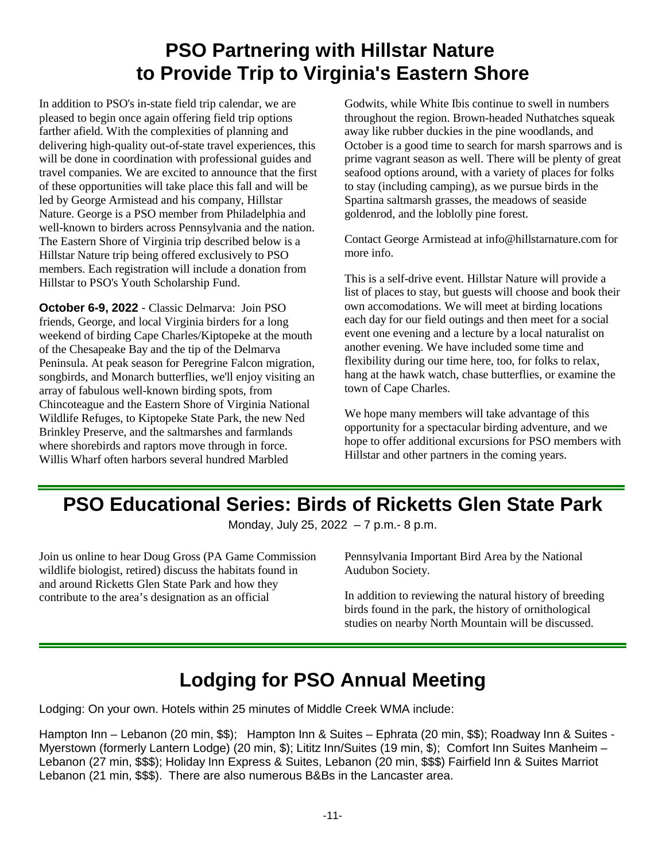# **PSO Partnering with Hillstar Nature to Provide Trip to Virginia's Eastern Shore**

In addition to PSO's in-state field trip calendar, we are pleased to begin once again offering field trip options farther afield. With the complexities of planning and delivering high-quality out-of-state travel experiences, this will be done in coordination with professional guides and travel companies. We are excited to announce that the first of these opportunities will take place this fall and will be led by George Armistead and his company, Hillstar Nature. George is a PSO member from Philadelphia and well-known to birders across Pennsylvania and the nation. The Eastern Shore of Virginia trip described below is a Hillstar Nature trip being offered exclusively to PSO members. Each registration will include a donation from Hillstar to PSO's Youth Scholarship Fund.

**October 6-9, 2022** - Classic Delmarva: Join PSO friends, George, and local Virginia birders for a long weekend of birding Cape Charles/Kiptopeke at the mouth of the Chesapeake Bay and the tip of the Delmarva Peninsula. At peak season for Peregrine Falcon migration, songbirds, and Monarch butterflies, we'll enjoy visiting an array of fabulous well-known birding spots, from Chincoteague and the Eastern Shore of Virginia National Wildlife Refuges, to Kiptopeke State Park, the new Ned Brinkley Preserve, and the saltmarshes and farmlands where shorebirds and raptors move through in force. Willis Wharf often harbors several hundred Marbled

Godwits, while White Ibis continue to swell in numbers throughout the region. Brown-headed Nuthatches squeak away like rubber duckies in the pine woodlands, and October is a good time to search for marsh sparrows and is prime vagrant season as well. There will be plenty of great seafood options around, with a variety of places for folks to stay (including camping), as we pursue birds in the Spartina saltmarsh grasses, the meadows of seaside goldenrod, and the loblolly pine forest.

Contact George Armistead at info@hillstarnature.com for more info.

This is a self-drive event. Hillstar Nature will provide a list of places to stay, but guests will choose and book their own accomodations. We will meet at birding locations each day for our field outings and then meet for a social event one evening and a lecture by a local naturalist on another evening. We have included some time and flexibility during our time here, too, for folks to relax, hang at the hawk watch, chase butterflies, or examine the town of Cape Charles.

We hope many members will take advantage of this opportunity for a spectacular birding adventure, and we hope to offer additional excursions for PSO members with Hillstar and other partners in the coming years.

### **PSO Educational Series: Birds of Ricketts Glen State Park**

Monday, July 25, 2022 – 7 p.m.- 8 p.m.

Join us online to hear Doug Gross (PA Game Commission wildlife biologist, retired) discuss the habitats found in and around Ricketts Glen State Park and how they contribute to the area's designation as an official

Pennsylvania Important Bird Area by the National Audubon Society.

In addition to reviewing the natural history of breeding birds found in the park, the history of ornithological studies on nearby North Mountain will be discussed.

# **Lodging for PSO Annual Meeting**

Lodging: On your own. Hotels within 25 minutes of Middle Creek WMA include:

Hampton Inn – Lebanon (20 min, \$\$); Hampton Inn & Suites – Ephrata (20 min, \$\$); Roadway Inn & Suites - Myerstown (formerly Lantern Lodge) (20 min, \$); Lititz Inn/Suites (19 min, \$); Comfort Inn Suites Manheim – Lebanon (27 min, \$\$\$); Holiday Inn Express & Suites, Lebanon (20 min, \$\$\$) Fairfield Inn & Suites Marriot Lebanon (21 min, \$\$\$). There are also numerous B&Bs in the Lancaster area.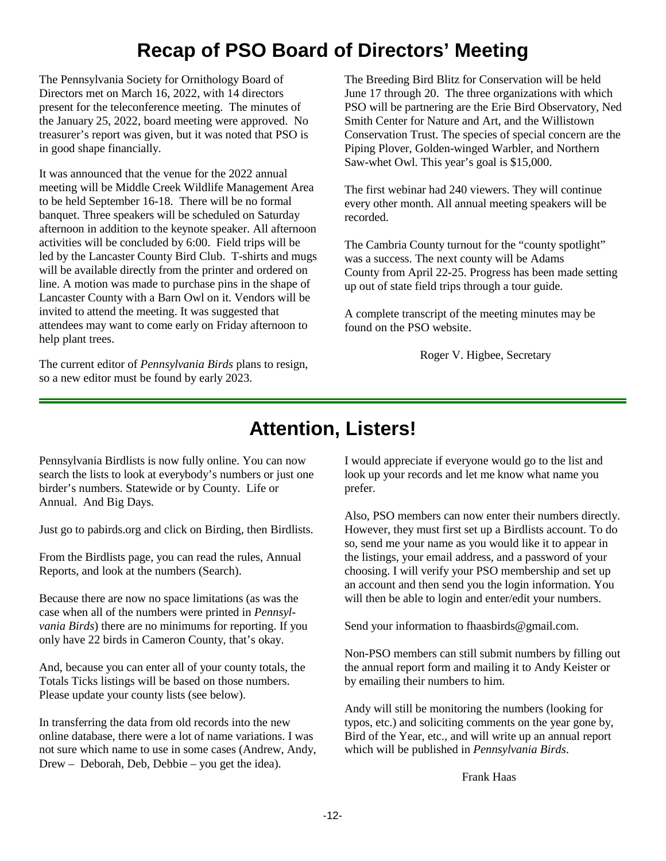# **Recap of PSO Board of Directors' Meeting**

The Pennsylvania Society for Ornithology Board of Directors met on March 16, 2022, with 14 directors present for the teleconference meeting. The minutes of the January 25, 2022, board meeting were approved. No treasurer's report was given, but it was noted that PSO is in good shape financially.

It was announced that the venue for the 2022 annual meeting will be Middle Creek Wildlife Management Area to be held September 16-18. There will be no formal banquet. Three speakers will be scheduled on Saturday afternoon in addition to the keynote speaker. All afternoon activities will be concluded by 6:00. Field trips will be led by the Lancaster County Bird Club. T-shirts and mugs will be available directly from the printer and ordered on line. A motion was made to purchase pins in the shape of Lancaster County with a Barn Owl on it. Vendors will be invited to attend the meeting. It was suggested that attendees may want to come early on Friday afternoon to help plant trees.

The current editor of *Pennsylvania Birds* plans to resign, so a new editor must be found by early 2023.

The Breeding Bird Blitz for Conservation will be held June 17 through 20. The three organizations with which PSO will be partnering are the Erie Bird Observatory, Ned Smith Center for Nature and Art, and the Willistown Conservation Trust. The species of special concern are the Piping Plover, Golden-winged Warbler, and Northern Saw-whet Owl. This year's goal is \$15,000.

The first webinar had 240 viewers. They will continue every other month. All annual meeting speakers will be recorded.

The Cambria County turnout for the "county spotlight" was a success. The next county will be Adams County from April 22-25. Progress has been made setting up out of state field trips through a tour guide.

A complete transcript of the meeting minutes may be found on the PSO website.

Roger V. Higbee, Secretary

# **Attention, Listers!**

Pennsylvania Birdlists is now fully online. You can now search the lists to look at everybody's numbers or just one birder's numbers. Statewide or by County. Life or Annual. And Big Days.

Just go to pabirds.org and click on Birding, then Birdlists.

From the Birdlists page, you can read the rules, Annual Reports, and look at the numbers (Search).

Because there are now no space limitations (as was the case when all of the numbers were printed in *Pennsylvania Birds*) there are no minimums for reporting. If you only have 22 birds in Cameron County, that's okay.

And, because you can enter all of your county totals, the Totals Ticks listings will be based on those numbers. Please update your county lists (see below).

In transferring the data from old records into the new online database, there were a lot of name variations. I was not sure which name to use in some cases (Andrew, Andy, Drew – Deborah, Deb, Debbie – you get the idea).

I would appreciate if everyone would go to the list and look up your records and let me know what name you prefer.

Also, PSO members can now enter their numbers directly. However, they must first set up a Birdlists account. To do so, send me your name as you would like it to appear in the listings, your email address, and a password of your choosing. I will verify your PSO membership and set up an account and then send you the login information. You will then be able to login and enter/edit your numbers.

Send your information to fhaasbirds@gmail.com.

Non-PSO members can still submit numbers by filling out the annual report form and mailing it to Andy Keister or by emailing their numbers to him.

Andy will still be monitoring the numbers (looking for typos, etc.) and soliciting comments on the year gone by, Bird of the Year, etc., and will write up an annual report which will be published in *Pennsylvania Birds*.

Frank Haas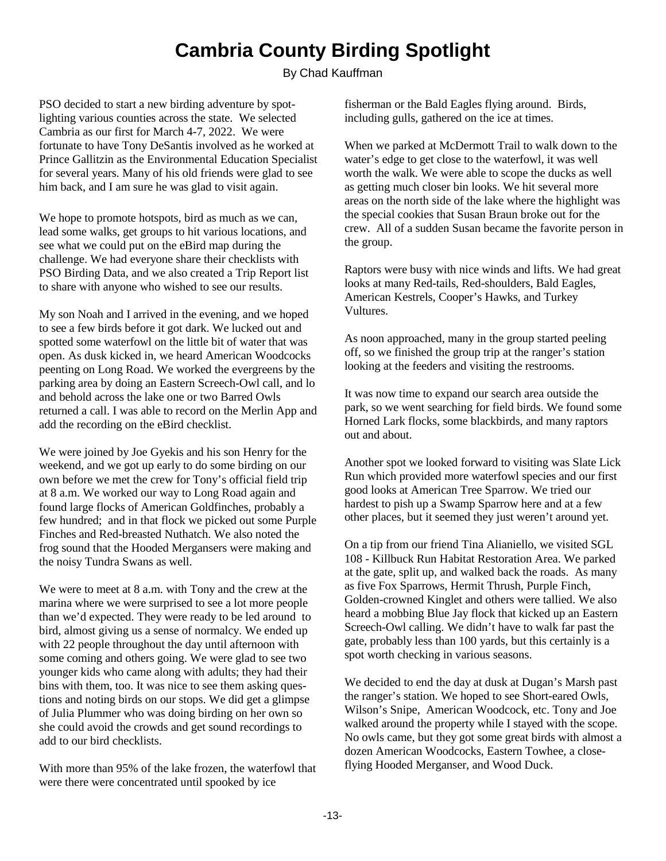# **Cambria County Birding Spotlight**

By Chad Kauffman

PSO decided to start a new birding adventure by spotlighting various counties across the state. We selected Cambria as our first for March 4-7, 2022. We were fortunate to have Tony DeSantis involved as he worked at Prince Gallitzin as the Environmental Education Specialist for several years. Many of his old friends were glad to see him back, and I am sure he was glad to visit again.

We hope to promote hotspots, bird as much as we can, lead some walks, get groups to hit various locations, and see what we could put on the eBird map during the challenge. We had everyone share their checklists with PSO Birding Data, and we also created a Trip Report list to share with anyone who wished to see our results.

My son Noah and I arrived in the evening, and we hoped to see a few birds before it got dark. We lucked out and spotted some waterfowl on the little bit of water that was open. As dusk kicked in, we heard American Woodcocks peenting on Long Road. We worked the evergreens by the parking area by doing an Eastern Screech-Owl call, and lo and behold across the lake one or two Barred Owls returned a call. I was able to record on the Merlin App and add the recording on the eBird checklist.

We were joined by Joe Gyekis and his son Henry for the weekend, and we got up early to do some birding on our own before we met the crew for Tony's official field trip at 8 a.m. We worked our way to Long Road again and found large flocks of American Goldfinches, probably a few hundred; and in that flock we picked out some Purple Finches and Red-breasted Nuthatch. We also noted the frog sound that the Hooded Mergansers were making and the noisy Tundra Swans as well.

We were to meet at 8 a.m. with Tony and the crew at the marina where we were surprised to see a lot more people than we'd expected. They were ready to be led around to bird, almost giving us a sense of normalcy. We ended up with 22 people throughout the day until afternoon with some coming and others going. We were glad to see two younger kids who came along with adults; they had their bins with them, too. It was nice to see them asking questions and noting birds on our stops. We did get a glimpse of Julia Plummer who was doing birding on her own so she could avoid the crowds and get sound recordings to add to our bird checklists.

With more than 95% of the lake frozen, the waterfowl that were there were concentrated until spooked by ice

fisherman or the Bald Eagles flying around. Birds, including gulls, gathered on the ice at times.

When we parked at McDermott Trail to walk down to the water's edge to get close to the waterfowl, it was well worth the walk. We were able to scope the ducks as well as getting much closer bin looks. We hit several more areas on the north side of the lake where the highlight was the special cookies that Susan Braun broke out for the crew. All of a sudden Susan became the favorite person in the group.

Raptors were busy with nice winds and lifts. We had great looks at many Red-tails, Red-shoulders, Bald Eagles, American Kestrels, Cooper's Hawks, and Turkey Vultures.

As noon approached, many in the group started peeling off, so we finished the group trip at the ranger's station looking at the feeders and visiting the restrooms.

It was now time to expand our search area outside the park, so we went searching for field birds. We found some Horned Lark flocks, some blackbirds, and many raptors out and about.

Another spot we looked forward to visiting was Slate Lick Run which provided more waterfowl species and our first good looks at American Tree Sparrow. We tried our hardest to pish up a Swamp Sparrow here and at a few other places, but it seemed they just weren't around yet.

On a tip from our friend Tina Alianiello, we visited SGL 108 - Killbuck Run Habitat Restoration Area. We parked at the gate, split up, and walked back the roads. As many as five Fox Sparrows, Hermit Thrush, Purple Finch, Golden-crowned Kinglet and others were tallied. We also heard a mobbing Blue Jay flock that kicked up an Eastern Screech-Owl calling. We didn't have to walk far past the gate, probably less than 100 yards, but this certainly is a spot worth checking in various seasons.

We decided to end the day at dusk at Dugan's Marsh past the ranger's station. We hoped to see Short-eared Owls, Wilson's Snipe, American Woodcock, etc. Tony and Joe walked around the property while I stayed with the scope. No owls came, but they got some great birds with almost a dozen American Woodcocks, Eastern Towhee, a closeflying Hooded Merganser, and Wood Duck.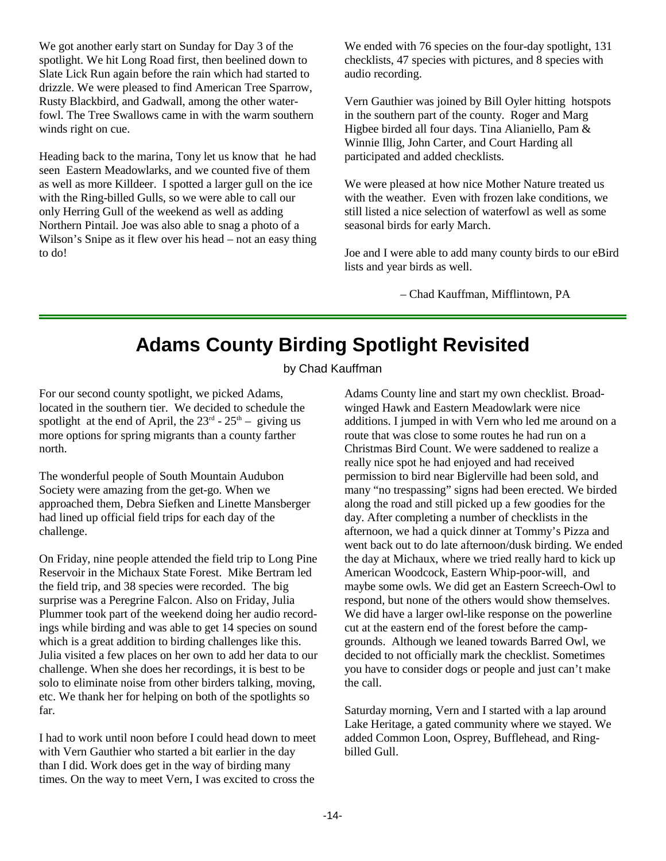We got another early start on Sunday for Day 3 of the spotlight. We hit Long Road first, then beelined down to Slate Lick Run again before the rain which had started to drizzle. We were pleased to find American Tree Sparrow, Rusty Blackbird, and Gadwall, among the other waterfowl. The Tree Swallows came in with the warm southern winds right on cue.

Heading back to the marina, Tony let us know that he had seen Eastern Meadowlarks, and we counted five of them as well as more Killdeer. I spotted a larger gull on the ice with the Ring-billed Gulls, so we were able to call our only Herring Gull of the weekend as well as adding Northern Pintail. Joe was also able to snag a photo of a Wilson's Snipe as it flew over his head – not an easy thing to do!

We ended with 76 species on the four-day spotlight, 131 checklists, 47 species with pictures, and 8 species with audio recording.

Vern Gauthier was joined by Bill Oyler hitting hotspots in the southern part of the county. Roger and Marg Higbee birded all four days. Tina Alianiello, Pam & Winnie Illig, John Carter, and Court Harding all participated and added checklists.

We were pleased at how nice Mother Nature treated us with the weather. Even with frozen lake conditions, we still listed a nice selection of waterfowl as well as some seasonal birds for early March.

Joe and I were able to add many county birds to our eBird lists and year birds as well.

– Chad Kauffman, Mifflintown, PA

# **Adams County Birding Spotlight Revisited**

by Chad Kauffman

For our second county spotlight, we picked Adams, located in the southern tier. We decided to schedule the spotlight at the end of April, the  $23<sup>rd</sup>$  -  $25<sup>th</sup>$  – giving us more options for spring migrants than a county farther north.

The wonderful people of South Mountain Audubon Society were amazing from the get-go. When we approached them, Debra Siefken and Linette Mansberger had lined up official field trips for each day of the challenge.

On Friday, nine people attended the field trip to Long Pine Reservoir in the Michaux State Forest. Mike Bertram led the field trip, and 38 species were recorded. The big surprise was a Peregrine Falcon. Also on Friday, Julia Plummer took part of the weekend doing her audio recordings while birding and was able to get 14 species on sound which is a great addition to birding challenges like this. Julia visited a few places on her own to add her data to our challenge. When she does her recordings, it is best to be solo to eliminate noise from other birders talking, moving, etc. We thank her for helping on both of the spotlights so far.

I had to work until noon before I could head down to meet with Vern Gauthier who started a bit earlier in the day than I did. Work does get in the way of birding many times. On the way to meet Vern, I was excited to cross the

Adams County line and start my own checklist. Broadwinged Hawk and Eastern Meadowlark were nice additions. I jumped in with Vern who led me around on a route that was close to some routes he had run on a Christmas Bird Count. We were saddened to realize a really nice spot he had enjoyed and had received permission to bird near Biglerville had been sold, and many "no trespassing" signs had been erected. We birded along the road and still picked up a few goodies for the day. After completing a number of checklists in the afternoon, we had a quick dinner at Tommy's Pizza and went back out to do late afternoon/dusk birding. We ended the day at Michaux, where we tried really hard to kick up American Woodcock, Eastern Whip-poor-will, and maybe some owls. We did get an Eastern Screech-Owl to respond, but none of the others would show themselves. We did have a larger owl-like response on the powerline cut at the eastern end of the forest before the campgrounds. Although we leaned towards Barred Owl, we decided to not officially mark the checklist. Sometimes you have to consider dogs or people and just can't make the call.

Saturday morning, Vern and I started with a lap around Lake Heritage, a gated community where we stayed. We added Common Loon, Osprey, Bufflehead, and Ringbilled Gull.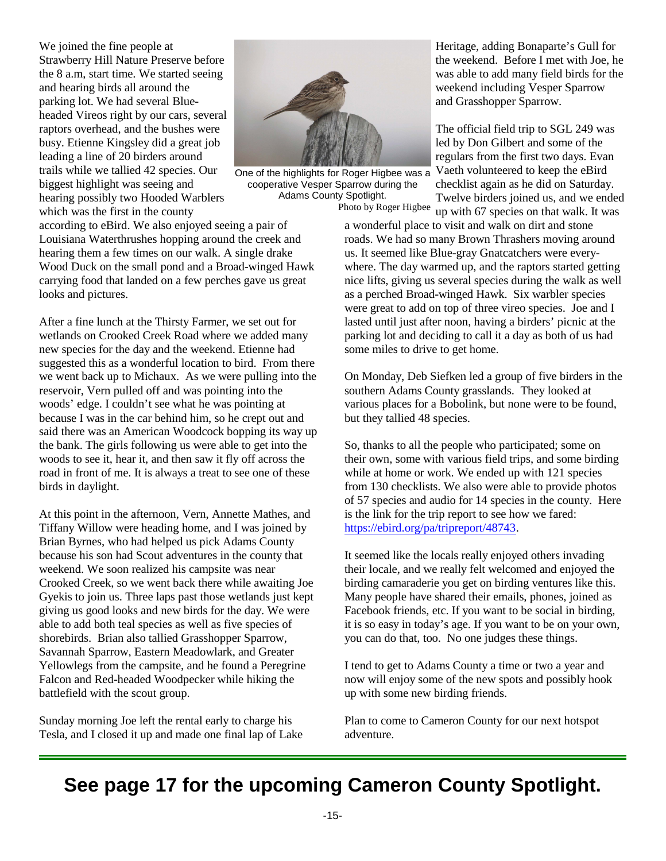We joined the fine people at Strawberry Hill Nature Preserve before the 8 a.m, start time. We started seeing and hearing birds all around the parking lot. We had several Blueheaded Vireos right by our cars, several raptors overhead, and the bushes were busy. Etienne Kingsley did a great job leading a line of 20 birders around trails while we tallied 42 species. Our biggest highlight was seeing and hearing possibly two Hooded Warblers which was the first in the county



One of the highlights for Roger Higbee was a cooperative Vesper Sparrow during the Adams County Spotlight. Photo by Roger Higbee

according to eBird. We also enjoyed seeing a pair of Louisiana Waterthrushes hopping around the creek and hearing them a few times on our walk. A single drake Wood Duck on the small pond and a Broad-winged Hawk carrying food that landed on a few perches gave us great looks and pictures.

After a fine lunch at the Thirsty Farmer, we set out for wetlands on Crooked Creek Road where we added many new species for the day and the weekend. Etienne had suggested this as a wonderful location to bird. From there we went back up to Michaux. As we were pulling into the reservoir, Vern pulled off and was pointing into the woods' edge. I couldn't see what he was pointing at because I was in the car behind him, so he crept out and said there was an American Woodcock bopping its way up the bank. The girls following us were able to get into the woods to see it, hear it, and then saw it fly off across the road in front of me. It is always a treat to see one of these birds in daylight.

At this point in the afternoon, Vern, Annette Mathes, and Tiffany Willow were heading home, and I was joined by Brian Byrnes, who had helped us pick Adams County because his son had Scout adventures in the county that weekend. We soon realized his campsite was near Crooked Creek, so we went back there while awaiting Joe Gyekis to join us. Three laps past those wetlands just kept giving us good looks and new birds for the day. We were able to add both teal species as well as five species of shorebirds. Brian also tallied Grasshopper Sparrow, Savannah Sparrow, Eastern Meadowlark, and Greater Yellowlegs from the campsite, and he found a Peregrine Falcon and Red-headed Woodpecker while hiking the battlefield with the scout group.

Sunday morning Joe left the rental early to charge his Tesla, and I closed it up and made one final lap of Lake Heritage, adding Bonaparte's Gull for the weekend. Before I met with Joe, he was able to add many field birds for the weekend including Vesper Sparrow and Grasshopper Sparrow.

The official field trip to SGL 249 was led by Don Gilbert and some of the regulars from the first two days. Evan Vaeth volunteered to keep the eBird checklist again as he did on Saturday. Twelve birders joined us, and we ended up with 67 species on that walk. It was

a wonderful place to visit and walk on dirt and stone roads. We had so many Brown Thrashers moving around us. It seemed like Blue-gray Gnatcatchers were everywhere. The day warmed up, and the raptors started getting nice lifts, giving us several species during the walk as well as a perched Broad-winged Hawk. Six warbler species were great to add on top of three vireo species. Joe and I lasted until just after noon, having a birders' picnic at the parking lot and deciding to call it a day as both of us had some miles to drive to get home.

On Monday, Deb Siefken led a group of five birders in the southern Adams County grasslands. They looked at various places for a Bobolink, but none were to be found, but they tallied 48 species.

So, thanks to all the people who participated; some on their own, some with various field trips, and some birding while at home or work. We ended up with 121 species from 130 checklists. We also were able to provide photos of 57 species and audio for 14 species in the county. Here is the link for the trip report to see how we fared: <https://ebird.org/pa/tripreport/48743>.

It seemed like the locals really enjoyed others invading their locale, and we really felt welcomed and enjoyed the birding camaraderie you get on birding ventures like this. Many people have shared their emails, phones, joined as Facebook friends, etc. If you want to be social in birding, it is so easy in today's age. If you want to be on your own, you can do that, too. No one judges these things.

I tend to get to Adams County a time or two a year and now will enjoy some of the new spots and possibly hook up with some new birding friends.

Plan to come to Cameron County for our next hotspot adventure.

### **See page 17 for the upcoming Cameron County Spotlight.**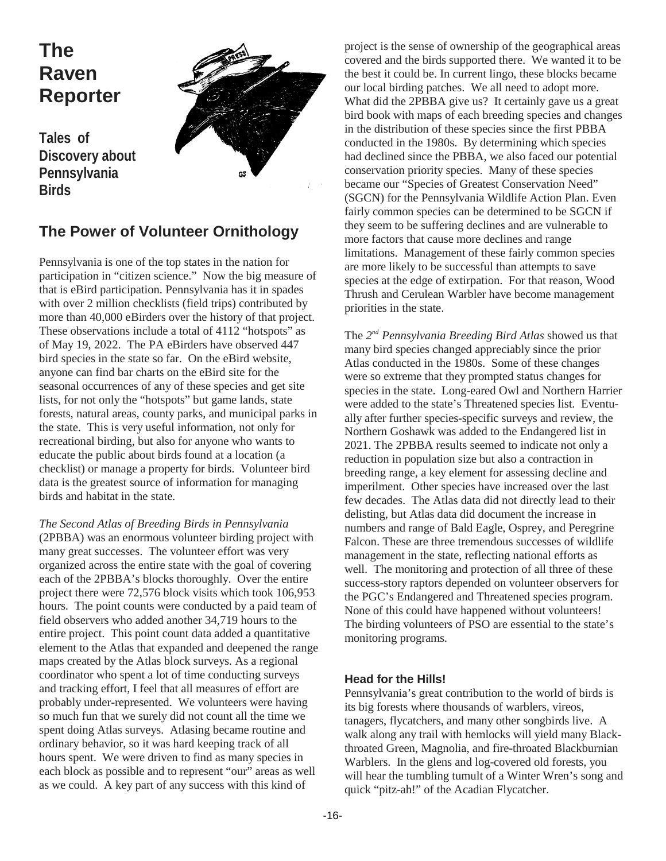# **The Raven Reporter**

**Tales of Discovery about Pennsylvania Birds**



### **The Power of Volunteer Ornithology**

Pennsylvania is one of the top states in the nation for participation in "citizen science." Now the big measure of that is eBird participation. Pennsylvania has it in spades with over 2 million checklists (field trips) contributed by more than 40,000 eBirders over the history of that project. These observations include a total of 4112 "hotspots" as of May 19, 2022. The PA eBirders have observed 447 bird species in the state so far. On the eBird website, anyone can find bar charts on the eBird site for the seasonal occurrences of any of these species and get site lists, for not only the "hotspots" but game lands, state forests, natural areas, county parks, and municipal parks in the state. This is very useful information, not only for recreational birding, but also for anyone who wants to educate the public about birds found at a location (a checklist) or manage a property for birds. Volunteer bird data is the greatest source of information for managing birds and habitat in the state.

*The Second Atlas of Breeding Birds in Pennsylvania* (2PBBA) was an enormous volunteer birding project with many great successes. The volunteer effort was very organized across the entire state with the goal of covering each of the 2PBBA's blocks thoroughly. Over the entire project there were 72,576 block visits which took 106,953 hours. The point counts were conducted by a paid team of field observers who added another 34,719 hours to the entire project. This point count data added a quantitative element to the Atlas that expanded and deepened the range maps created by the Atlas block surveys. As a regional coordinator who spent a lot of time conducting surveys and tracking effort, I feel that all measures of effort are probably under-represented. We volunteers were having so much fun that we surely did not count all the time we spent doing Atlas surveys. Atlasing became routine and ordinary behavior, so it was hard keeping track of all hours spent. We were driven to find as many species in each block as possible and to represent "our" areas as well as we could. A key part of any success with this kind of

project is the sense of ownership of the geographical areas covered and the birds supported there. We wanted it to be the best it could be. In current lingo, these blocks became our local birding patches. We all need to adopt more. What did the 2PBBA give us? It certainly gave us a great bird book with maps of each breeding species and changes in the distribution of these species since the first PBBA conducted in the 1980s. By determining which species had declined since the PBBA, we also faced our potential conservation priority species. Many of these species became our "Species of Greatest Conservation Need" (SGCN) for the Pennsylvania Wildlife Action Plan. Even fairly common species can be determined to be SGCN if they seem to be suffering declines and are vulnerable to more factors that cause more declines and range limitations. Management of these fairly common species are more likely to be successful than attempts to save species at the edge of extirpation. For that reason, Wood Thrush and Cerulean Warbler have become management priorities in the state.

The 2<sup>nd</sup> Pennsylvania Breeding Bird Atlas showed us that many bird species changed appreciably since the prior Atlas conducted in the 1980s. Some of these changes were so extreme that they prompted status changes for species in the state. Long-eared Owl and Northern Harrier were added to the state's Threatened species list. Eventually after further species-specific surveys and review, the Northern Goshawk was added to the Endangered list in 2021. The 2PBBA results seemed to indicate not only a reduction in population size but also a contraction in breeding range, a key element for assessing decline and imperilment. Other species have increased over the last few decades. The Atlas data did not directly lead to their delisting, but Atlas data did document the increase in numbers and range of Bald Eagle, Osprey, and Peregrine Falcon. These are three tremendous successes of wildlife management in the state, reflecting national efforts as well. The monitoring and protection of all three of these success-story raptors depended on volunteer observers for the PGC's Endangered and Threatened species program. None of this could have happened without volunteers! The birding volunteers of PSO are essential to the state's monitoring programs.

#### **Head for the Hills!**

Pennsylvania's great contribution to the world of birds is its big forests where thousands of warblers, vireos, tanagers, flycatchers, and many other songbirds live. A walk along any trail with hemlocks will yield many Blackthroated Green, Magnolia, and fire-throated Blackburnian Warblers. In the glens and log-covered old forests, you will hear the tumbling tumult of a Winter Wren's song and quick "pitz-ah!" of the Acadian Flycatcher.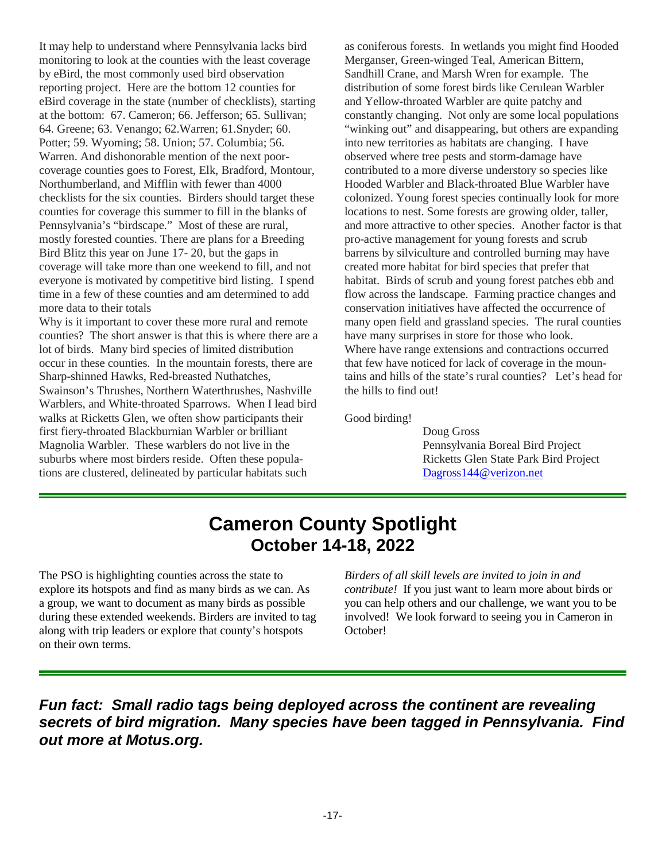It may help to understand where Pennsylvania lacks bird monitoring to look at the counties with the least coverage by eBird, the most commonly used bird observation reporting project. Here are the bottom 12 counties for eBird coverage in the state (number of checklists), starting at the bottom: 67. Cameron; 66. Jefferson; 65. Sullivan; 64. Greene; 63. Venango; 62.Warren; 61.Snyder; 60. Potter; 59. Wyoming; 58. Union; 57. Columbia; 56. Warren. And dishonorable mention of the next poorcoverage counties goes to Forest, Elk, Bradford, Montour, Northumberland, and Mifflin with fewer than 4000 checklists for the six counties. Birders should target these counties for coverage this summer to fill in the blanks of Pennsylvania's "birdscape." Most of these are rural, mostly forested counties. There are plans for a Breeding Bird Blitz this year on June 17- 20, but the gaps in coverage will take more than one weekend to fill, and not everyone is motivated by competitive bird listing. I spend time in a few of these counties and am determined to add more data to their totals

Why is it important to cover these more rural and remote counties? The short answer is that this is where there are a lot of birds. Many bird species of limited distribution occur in these counties. In the mountain forests, there are Sharp-shinned Hawks, Red-breasted Nuthatches, Swainson's Thrushes, Northern Waterthrushes, Nashville Warblers, and White-throated Sparrows. When I lead bird walks at Ricketts Glen, we often show participants their first fiery-throated Blackburnian Warbler or brilliant Magnolia Warbler. These warblers do not live in the suburbs where most birders reside. Often these populations are clustered, delineated by particular habitats such

as coniferous forests. In wetlands you might find Hooded Merganser, Green-winged Teal, American Bittern, Sandhill Crane, and Marsh Wren for example. The distribution of some forest birds like Cerulean Warbler and Yellow-throated Warbler are quite patchy and constantly changing. Not only are some local populations "winking out" and disappearing, but others are expanding into new territories as habitats are changing. I have observed where tree pests and storm-damage have contributed to a more diverse understory so species like Hooded Warbler and Black-throated Blue Warbler have colonized. Young forest species continually look for more locations to nest. Some forests are growing older, taller, and more attractive to other species. Another factor is that pro-active management for young forests and scrub barrens by silviculture and controlled burning may have created more habitat for bird species that prefer that habitat. Birds of scrub and young forest patches ebb and flow across the landscape. Farming practice changes and conservation initiatives have affected the occurrence of many open field and grassland species. The rural counties have many surprises in store for those who look. Where have range extensions and contractions occurred that few have noticed for lack of coverage in the mountains and hills of the state's rural counties? Let's head for the hills to find out!

Good birding!

Doug Gross Pennsylvania Boreal Bird Project Ricketts Glen State Park Bird Project [Dagross144@verizon.net](mailto:Dagross144@verizon.net)

### **Cameron County Spotlight October 14-18, 2022**

The PSO is highlighting counties across the state to explore its hotspots and find as many birds as we can. As a group, we want to document as many birds as possible during these extended weekends. Birders are invited to tag along with trip leaders or explore that county's hotspots on their own terms.

-

*Birders of all skill levels are invited to join in and contribute!* If you just want to learn more about birds or you can help others and our challenge, we want you to be involved! We look forward to seeing you in Cameron in October!

*Fun fact: Small radio tags being deployed across the continent are revealing secrets of bird migration. Many species have been tagged in Pennsylvania. Find out more at Motus.org.*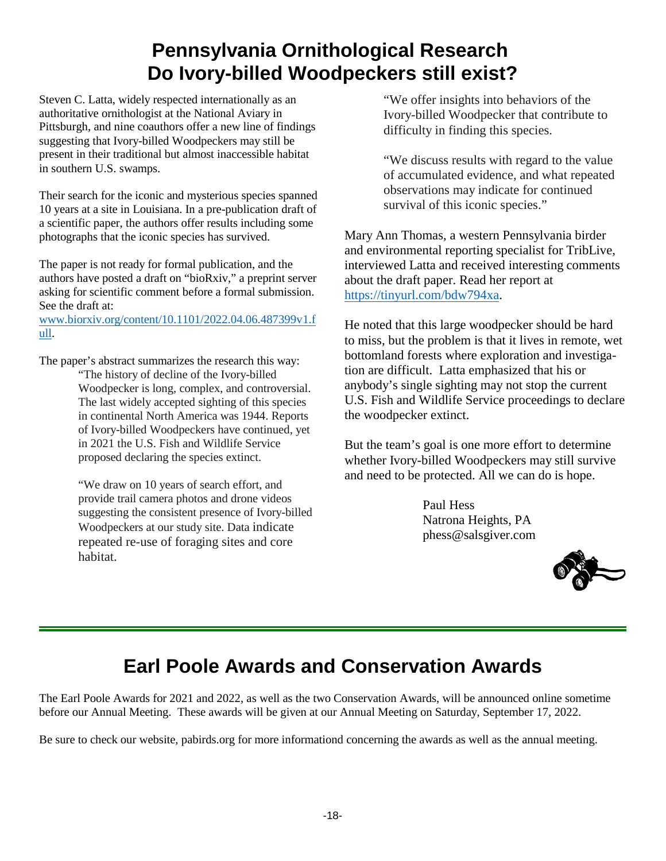# **Pennsylvania Ornithological Research Do Ivory-billed Woodpeckers still exist?**

Steven C. Latta, widely respected internationally as an authoritative ornithologist at the National Aviary in Pittsburgh, and nine coauthors offer a new line of findings suggesting that Ivory-billed Woodpeckers may still be present in their traditional but almost inaccessible habitat in southern U.S. swamps.

Their search for the iconic and mysterious species spanned 10 years at a site in Louisiana. In a pre-publication draft of a scientific paper, the authors offer results including some photographs that the iconic species has survived.

The paper is not ready for formal publication, and the authors have posted a draft on "bioRxiv," a preprint server asking for scientific comment before a formal submission. See the draft at:

[www.biorxiv.org/content/10.1101/2022.04.06.487399v1.f](http://www.biorxiv.org/content/10.1101/2022.04.06.487399v1.full) [ull](http://www.biorxiv.org/content/10.1101/2022.04.06.487399v1.full).

The paper's abstract summarizes the research this way: "The history of decline of the Ivory-billed

Woodpecker is long, complex, and controversial. The last widely accepted sighting of this species in continental North America was 1944. Reports of Ivory-billed Woodpeckers have continued, yet in 2021 the U.S. Fish and Wildlife Service proposed declaring the species extinct.

"We draw on 10 years of search effort, and provide trail camera photos and drone videos suggesting the consistent presence of Ivory-billed Woodpeckers at our study site. Data indicate repeated re-use of foraging sites and core habitat.

"We offer insights into behaviors of the Ivory-billed Woodpecker that contribute to difficulty in finding this species.

"We discuss results with regard to the value of accumulated evidence, and what repeated observations may indicate for continued survival of this iconic species."

Mary Ann Thomas, a western Pennsylvania birder and environmental reporting specialist for TribLive, interviewed Latta and received interesting comments about the draft paper. Read her report at <https://tinyurl.com/bdw794xa>.

He noted that this large woodpecker should be hard to miss, but the problem is that it lives in remote, wet bottomland forests where exploration and investigation are difficult. Latta emphasized that his or anybody's single sighting may not stop the current U.S. Fish and Wildlife Service proceedings to declare the woodpecker extinct.

But the team's goal is one more effort to determine whether Ivory-billed Woodpeckers may still survive and need to be protected. All we can do is hope.

> Paul Hess Natrona Heights, PA phess@salsgiver.com



# **Earl Poole Awards and Conservation Awards**

The Earl Poole Awards for 2021 and 2022, as well as the two Conservation Awards, will be announced online sometime before our Annual Meeting. These awards will be given at our Annual Meeting on Saturday, September 17, 2022.

Be sure to check our website, pabirds.org for more informationd concerning the awards as well as the annual meeting.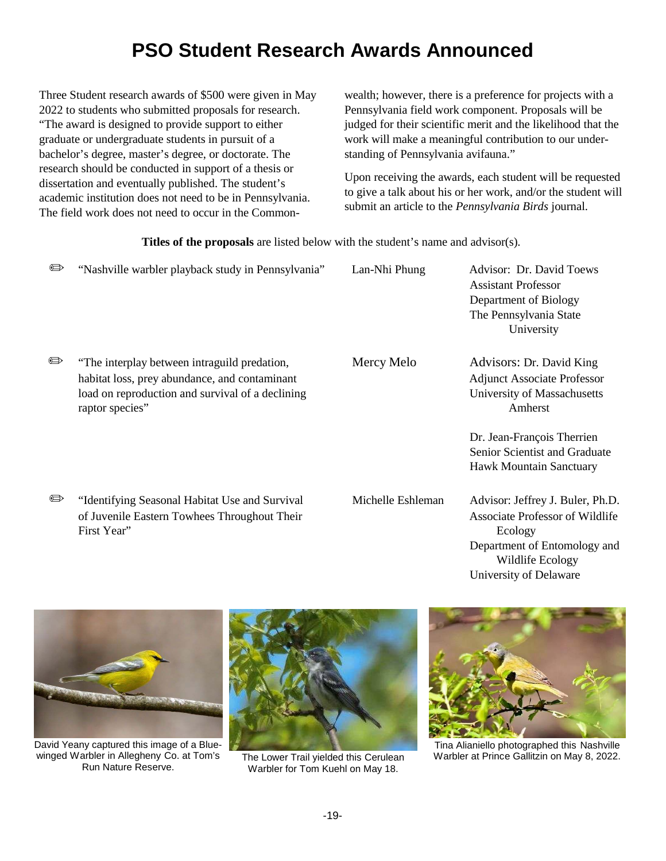# **PSO Student Research Awards Announced**

Three Student research awards of \$500 were given in May 2022 to students who submitted proposals for research. "The award is designed to provide support to either graduate or undergraduate students in pursuit of a bachelor's degree, master's degree, or doctorate. The research should be conducted in support of a thesis or dissertation and eventually published. The student's academic institution does not need to be in Pennsylvania. The field work does not need to occur in the Commonwealth; however, there is a preference for projects with a Pennsylvania field work component. Proposals will be judged for their scientific merit and the likelihood that the work will make a meaningful contribution to our understanding of Pennsylvania avifauna."

Upon receiving the awards, each student will be requested to give a talk about his or her work, and/or the student will submit an article to the *Pennsylvania Birds* journal.

**Titles of the proposals** are listed below with the student's name and advisor(s).

| $\oplus$    | "Nashville warbler playback study in Pennsylvania"                                                                                                                   | Lan-Nhi Phung     | Advisor: Dr. David Toews<br><b>Assistant Professor</b><br>Department of Biology<br>The Pennsylvania State<br>University                                             |
|-------------|----------------------------------------------------------------------------------------------------------------------------------------------------------------------|-------------------|---------------------------------------------------------------------------------------------------------------------------------------------------------------------|
| $\bigoplus$ | "The interplay between intraguild predation,<br>habitat loss, prey abundance, and contaminant<br>load on reproduction and survival of a declining<br>raptor species" | Mercy Melo        | Advisors: Dr. David King<br><b>Adjunct Associate Professor</b><br>University of Massachusetts<br>Amherst                                                            |
|             |                                                                                                                                                                      |                   | Dr. Jean-François Therrien<br>Senior Scientist and Graduate<br>Hawk Mountain Sanctuary                                                                              |
| $\bigoplus$ | "Identifying Seasonal Habitat Use and Survival<br>of Juvenile Eastern Towhees Throughout Their<br>First Year"                                                        | Michelle Eshleman | Advisor: Jeffrey J. Buler, Ph.D.<br><b>Associate Professor of Wildlife</b><br>Ecology<br>Department of Entomology and<br>Wildlife Ecology<br>University of Delaware |



David Yeany captured this image of a Bluewinged Warbler in Allegheny Co. at Tom's Run Nature Reserve.



Warbler for Tom Kuehl on May 18.



Tina Alianiello photographed this Nashville The Lower Trail yielded this Cerulean Warbler at Prince Gallitzin on May 8, 2022.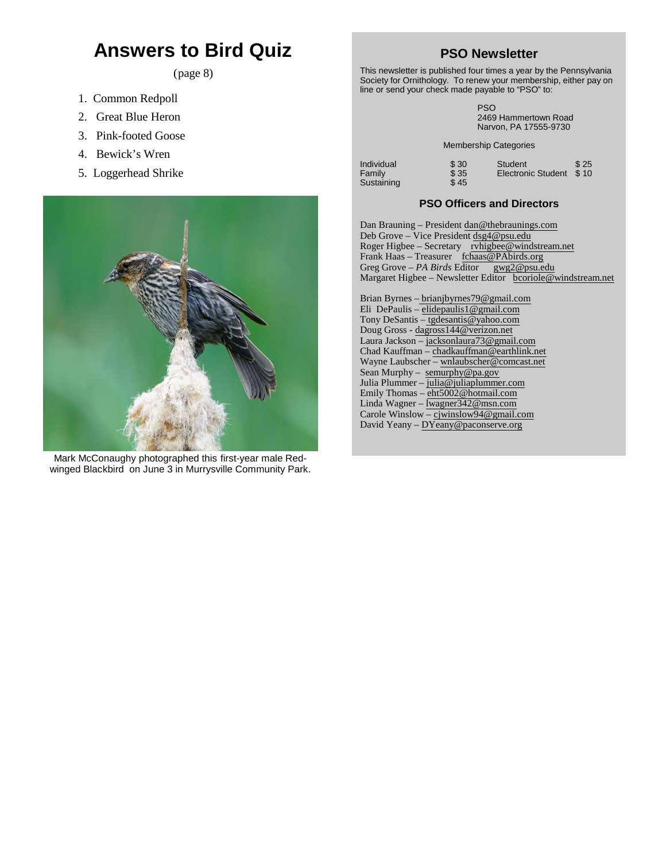## **Answers to Bird Quiz**

(page 8)

- 1. Common Redpoll
- 2. Great Blue Heron
- 3. Pink-footed Goose
- 4. Bewick's Wren
- 5. Loggerhead Shrike



Mark McConaughy photographed this first-year male Redwinged Blackbird on June 3 in Murrysville Community Park.

#### **PSO Newsletter**

This newsletter is published four times a year by the Pennsylvania Society for Ornithology. To renew your membership, either pay on line or send your check made payable to "PSO" to:

> PSO 2469 Hammertown Road Narvon, PA 17555-9730

Membership Categories

| Individual | \$30 | Student                 | \$25 |
|------------|------|-------------------------|------|
| Family     | \$35 | Electronic Student \$10 |      |
| Sustaining | \$45 |                         |      |

#### **PSO Officers and Directors**

Dan Brauning – President dan@thebraunings.com Deb Grove – Vice President [dsg4@psu.edu](mailto:dsg4@psu.edu) Roger Higbee – Secretary [rvhigbee@windstream.net](mailto:bcoriole@twd.net) Frank Haas – Treasurer [fchaas@PAbirds.org](mailto:eez55@juno.com) Greg Grove – *PA Birds* Editor gwg2@psu.edu Margaret Higbee – Newsletter Editor [bcoriole@windstream.net](mailto:bcoriole@twd.net) Brian Byrnes – brianjbyrnes79@gmail.com Eli DePaulis – [elidepaulis1@gmail.com](mailto:elidepaulis1@gmail.com) Tony DeSantis – tgdesantis@yahoo.com Doug Gross - [dagross144@verizon.net](mailto:dogross@pa.gov) Laura Jackson – [jacksonlaura73@gmail.com](mailto:jacksonlaura73@gmail.com) Chad Kauffman – [chadkauffman@earthlink.net](mailto:chadkauffman@earthlink.net) Wayne Laubscher – [wnlaubscher@comcast.net](mailto:wnlaubscher@comcast.net) Sean Murphy - semurphy@pa.gov Julia Plummer – julia@juliaplummer.com Emily Thomas – [eht5002@hotmail.com](mailto:eht5002@hotmail.com)

Linda Wagner – [lwagner342@msn.com](mailto:lwagner342@msn.com) Carole Winslow – [cjwinslow94@gmail.com](mailto:cjwinslow94@gmail.com) David Yeany – [DYeany@paconserve.org](mailto:DYeany@paconserve.org)